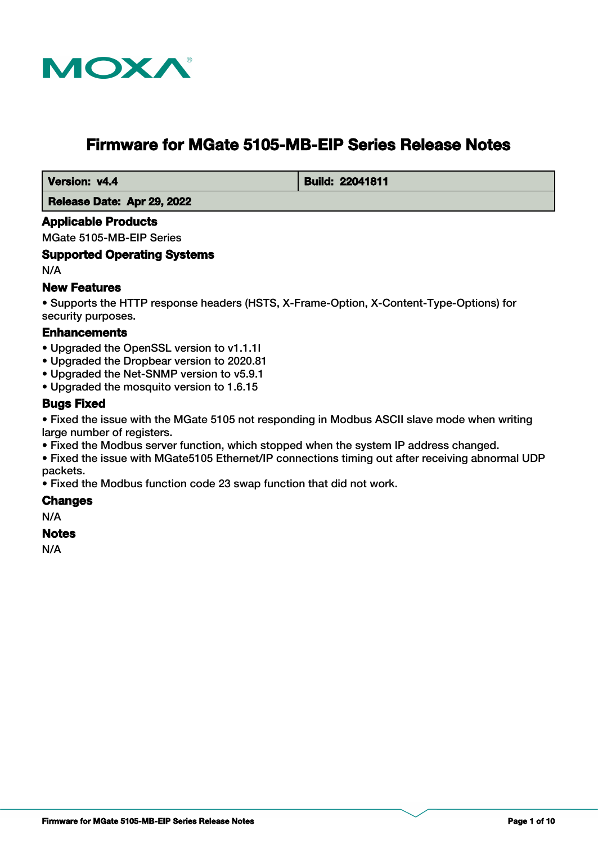

# **Firmware for MGate 5105-MB-EIP Series Release Notes**

 **Version: v4.4 Build: 22041811** 

 **Release Date: Apr 29, 2022**

#### **Applicable Products**

MGate 5105-MB-EIP Series

#### **Supported Operating Systems**

N/A

#### **New Features**

• Supports the HTTP response headers (HSTS, X-Frame-Option, X-Content-Type-Options) for security purposes.

#### **Enhancements**

- Upgraded the OpenSSL version to v1.1.1l
- Upgraded the Dropbear version to 2020.81
- Upgraded the Net-SNMP version to v5.9.1
- Upgraded the mosquito version to 1.6.15

#### **Bugs Fixed**

• Fixed the issue with the MGate 5105 not responding in Modbus ASCII slave mode when writing large number of registers.

- Fixed the Modbus server function, which stopped when the system IP address changed.
- Fixed the issue with MGate5105 Ethernet/IP connections timing out after receiving abnormal UDP packets.

• Fixed the Modbus function code 23 swap function that did not work.

#### **Changes**

N/A

#### **Notes**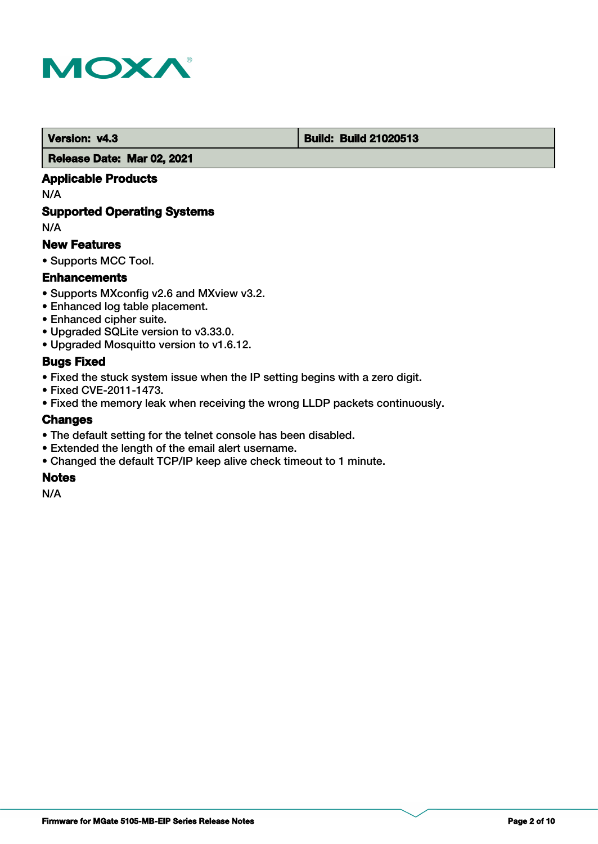

#### **Version: v4.3 Build: Build: Build 21020513**

 **Release Date: Mar 02, 2021**

### **Applicable Products**

N/A

### **Supported Operating Systems**

N/A

#### **New Features**

• Supports MCC Tool.

#### **Enhancements**

- Supports MXconfig v2.6 and MXview v3.2.
- Enhanced log table placement.
- Enhanced cipher suite.
- Upgraded SQLite version to v3.33.0.
- Upgraded Mosquitto version to v1.6.12.

### **Bugs Fixed**

- Fixed the stuck system issue when the IP setting begins with a zero digit.
- Fixed CVE-2011-1473.
- Fixed the memory leak when receiving the wrong LLDP packets continuously.

#### **Changes**

- The default setting for the telnet console has been disabled.
- Extended the length of the email alert username.
- Changed the default TCP/IP keep alive check timeout to 1 minute.

### **Notes**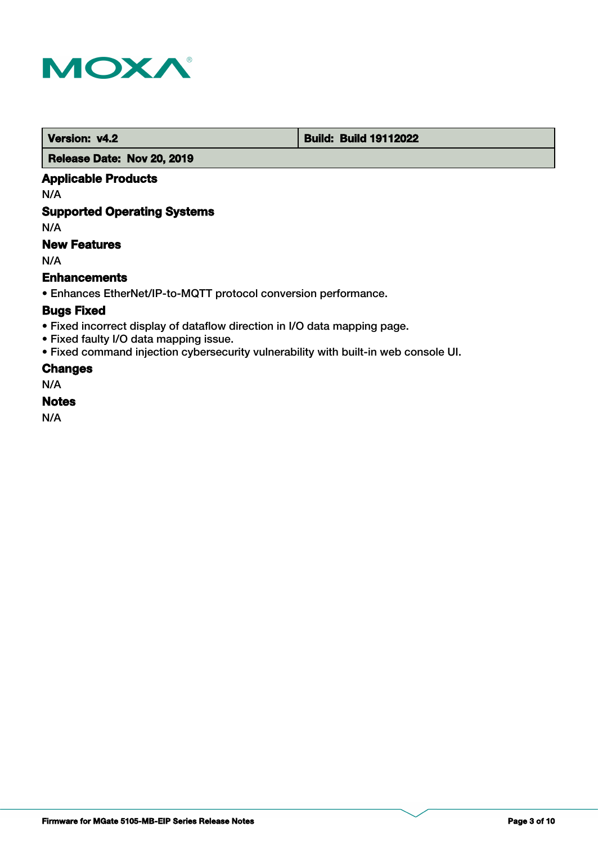

 **Version: v4.2 Build: Build: Build 19112022** 

 **Release Date: Nov 20, 2019**

### **Applicable Products**

N/A

### **Supported Operating Systems**

N/A

### **New Features**

N/A

#### **Enhancements**

• Enhances EtherNet/IP-to-MQTT protocol conversion performance.

### **Bugs Fixed**

- Fixed incorrect display of dataflow direction in I/O data mapping page.
- Fixed faulty I/O data mapping issue.
- Fixed command injection cybersecurity vulnerability with built-in web console UI.

### **Changes**

N/A

#### **Notes**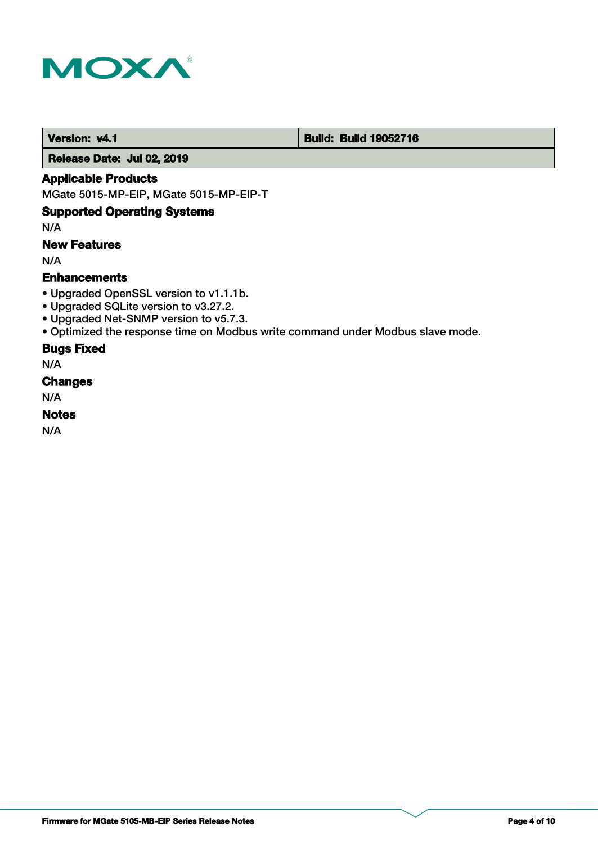

#### **Version: v4.1 Build: Build: Build 19052716**

 **Release Date: Jul 02, 2019**

#### **Applicable Products**

MGate 5015-MP-EIP, MGate 5015-MP-EIP-T

# **Supported Operating Systems**

N/A

# **New Features**

N/A

### **Enhancements**

- Upgraded OpenSSL version to v1.1.1b.
- Upgraded SQLite version to v3.27.2.
- Upgraded Net-SNMP version to v5.7.3.
- Optimized the response time on Modbus write command under Modbus slave mode.

#### **Bugs Fixed**

N/A

#### **Changes**

N/A

#### **Notes**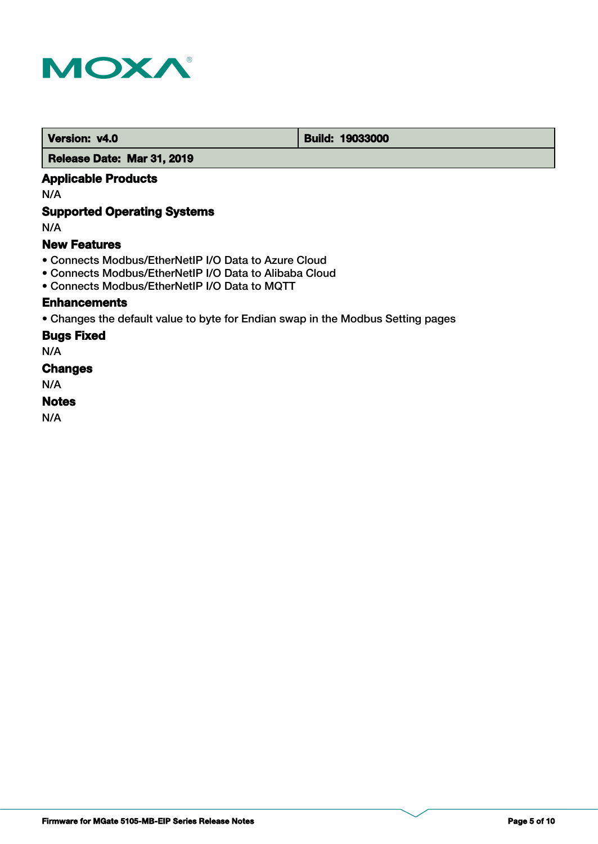

 **Version: v4.0 Build: 19033000** 

 **Release Date: Mar 31, 2019**

### **Applicable Products**

N/A

# **Supported Operating Systems**

N/A

#### **New Features**

- Connects Modbus/EtherNetIP I/O Data to Azure Cloud
- Connects Modbus/EtherNetIP I/O Data to Alibaba Cloud
- Connects Modbus/EtherNetIP I/O Data to MQTT

#### **Enhancements**

• Changes the default value to byte for Endian swap in the Modbus Setting pages

#### **Bugs Fixed**

N/A

### **Changes**

N/A

### **Notes**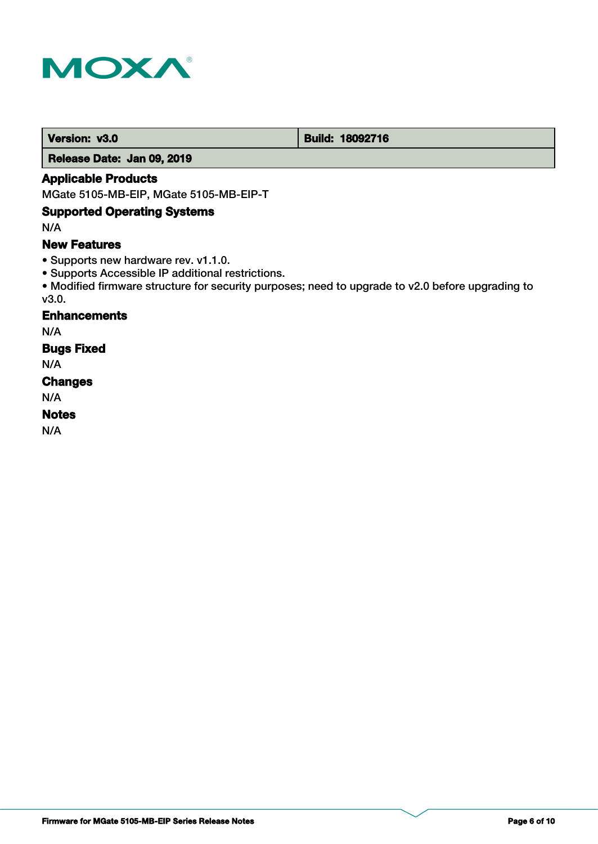

 **Version: v3.0 Build: 18092716** 

 **Release Date: Jan 09, 2019**

### **Applicable Products**

MGate 5105-MB-EIP, MGate 5105-MB-EIP-T

### **Supported Operating Systems**

N/A

### **New Features**

- Supports new hardware rev. v1.1.0.
- Supports Accessible IP additional restrictions.
- Modified firmware structure for security purposes; need to upgrade to v2.0 before upgrading to v3.0.

### **Enhancements**

N/A

### **Bugs Fixed**

N/A

#### **Changes**

N/A

### **Notes**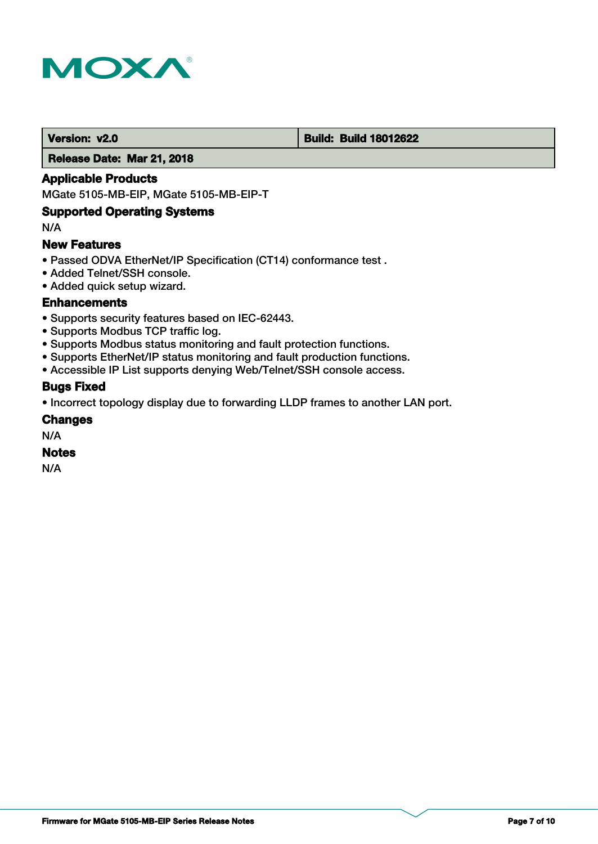

#### **Version: v2.0 Build: Build: Build 18012622**

 **Release Date: Mar 21, 2018**

### **Applicable Products**

MGate 5105-MB-EIP, MGate 5105-MB-EIP-T

#### **Supported Operating Systems**

N/A

#### **New Features**

- Passed ODVA EtherNet/IP Specification (CT14) conformance test .
- Added Telnet/SSH console.
- Added quick setup wizard.

#### **Enhancements**

- Supports security features based on IEC-62443.
- Supports Modbus TCP traffic log.
- Supports Modbus status monitoring and fault protection functions.
- Supports EtherNet/IP status monitoring and fault production functions.
- Accessible IP List supports denying Web/Telnet/SSH console access.

#### **Bugs Fixed**

• Incorrect topology display due to forwarding LLDP frames to another LAN port.

#### **Changes**

N/A

#### **Notes**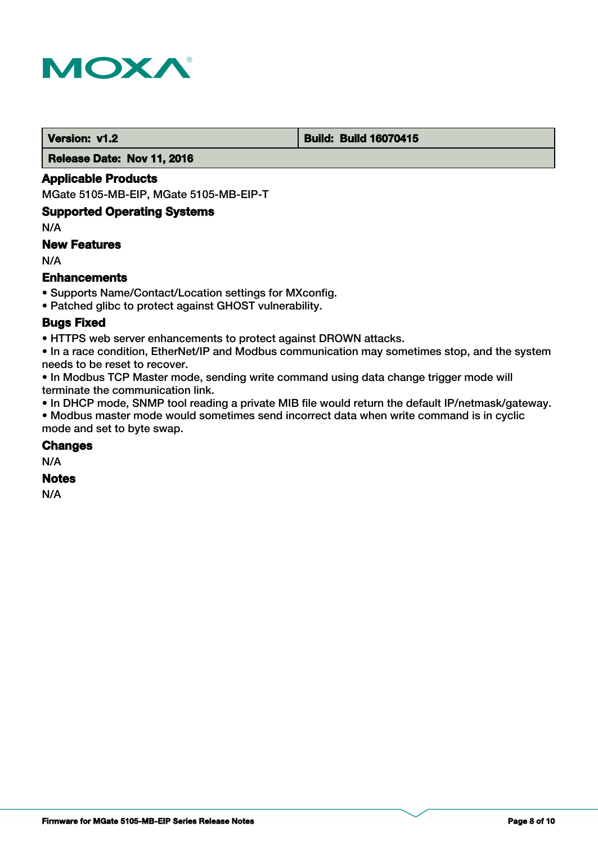

#### **Version: v1.2 Build: Build: Build 16070415**

 **Release Date: Nov 11, 2016**

#### **Applicable Products**

MGate 5105-MB-EIP, MGate 5105-MB-EIP-T

#### **Supported Operating Systems**

N/A

#### **New Features**

N/A

#### **Enhancements**

• Supports Name/Contact/Location settings for MXconfig.

• Patched glibc to protect against GHOST vulnerability.

### **Bugs Fixed**

• HTTPS web server enhancements to protect against DROWN attacks.

• In a race condition, EtherNet/IP and Modbus communication may sometimes stop, and the system needs to be reset to recover.

• In Modbus TCP Master mode, sending write command using data change trigger mode will terminate the communication link.

• In DHCP mode, SNMP tool reading a private MIB file would return the default IP/netmask/gateway.

• Modbus master mode would sometimes send incorrect data when write command is in cyclic mode and set to byte swap.

### **Changes**

N/A

# **Notes**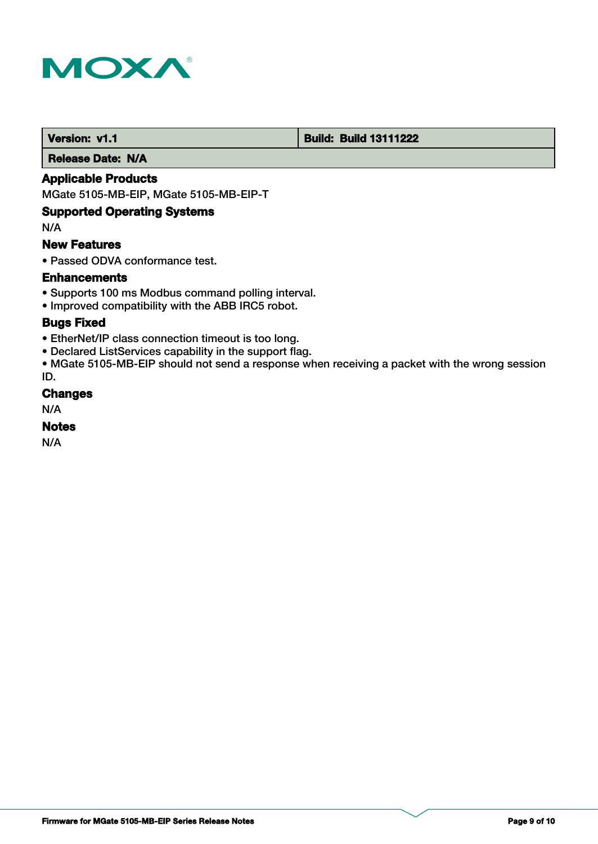

#### **Version: v1.1 1.1 Build: Build: Build 13111222**

 **Release Date: N/A**

### **Applicable Products**

MGate 5105-MB-EIP, MGate 5105-MB-EIP-T

### **Supported Operating Systems**

N/A

#### **New Features**

• Passed ODVA conformance test.

#### **Enhancements**

- Supports 100 ms Modbus command polling interval.
- Improved compatibility with the ABB IRC5 robot.

### **Bugs Fixed**

- EtherNet/IP class connection timeout is too long.
- Declared ListServices capability in the support flag.

• MGate 5105-MB-EIP should not send a response when receiving a packet with the wrong session ID.

#### **Changes**

N/A

#### **Notes**